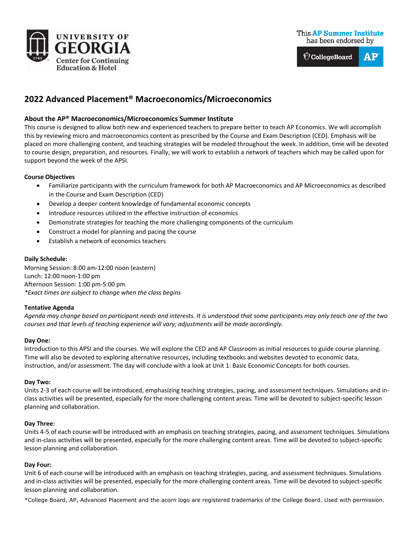



# **2022 Advanced Placement® Macroeconomics/Microeconomics**

# **About the AP® Macroeconomics/Microeconomics Summer Institute**

This course is designed to allow both new and experienced teachers to prepare better to teach AP Economics. We will accomplish this by reviewing micro and macroeconomics content as prescribed by the Course and Exam Description (CED). Emphasis will be placed on more challenging content, and teaching strategies will be modeled throughout the week. In addition, time will be devoted to course design, preparation, and resources. Finally, we will work to establish a network of teachers which may be called upon for support beyond the week of the APSI.

#### **Course Objectives**

- Familiarize participants with the curriculum framework for both AP Macroeconomics and AP Microeconomics as described in the Course and Exam Description (CED)
- Develop a deeper content knowledge of fundamental economic concepts
- Introduce resources utilized in the effective instruction of economics
- Demonstrate strategies for teaching the more challenging components of the curriculum
- Construct a model for planning and pacing the course
- Establish a network of economics teachers

## **Daily Schedule:**

Morning Session: 8:00 am-12:00 noon (eastern) Lunch: 12:00 noon-1:00 pm Afternoon Session: 1:00 pm-5:00 pm *\*Exact times are subject to change when the class begins*

## **Tentative Agenda**

*Agenda may change based on participant needs and interests. It is understood that some participants may only teach one of the two courses and that levels of teaching experience will vary; adjustments will be made accordingly.* 

## **Day One:**

Introduction to this APSI and the courses. We will explore the CED and AP Classroom as initial resources to guide course planning. Time will also be devoted to exploring alternative resources, including textbooks and websites devoted to economic data, instruction, and/or assessment. The day will conclude with a look at Unit 1: Basic Economic Concepts for both courses.

#### **Day Two:**

Units 2-3 of each course will be introduced, emphasizing teaching strategies, pacing, and assessment techniques. Simulations and inclass activities will be presented, especially for the more challenging content areas. Time will be devoted to subject-specific lesson planning and collaboration.

## **Day Three:**

Units 4-5 of each course will be introduced with an emphasis on teaching strategies, pacing, and assessment techniques. Simulations and in-class activities will be presented, especially for the more challenging content areas. Time will be devoted to subject-specific lesson planning and collaboration.

## **Day Four:**

Unit 6 of each course will be introduced with an emphasis on teaching strategies, pacing, and assessment techniques. Simulations and in-class activities will be presented, especially for the more challenging content areas. Time will be devoted to subject-specific lesson planning and collaboration.

\*College Board, AP, Advanced Placement and the acorn logo are registered trademarks of the College Board. Used with permission.